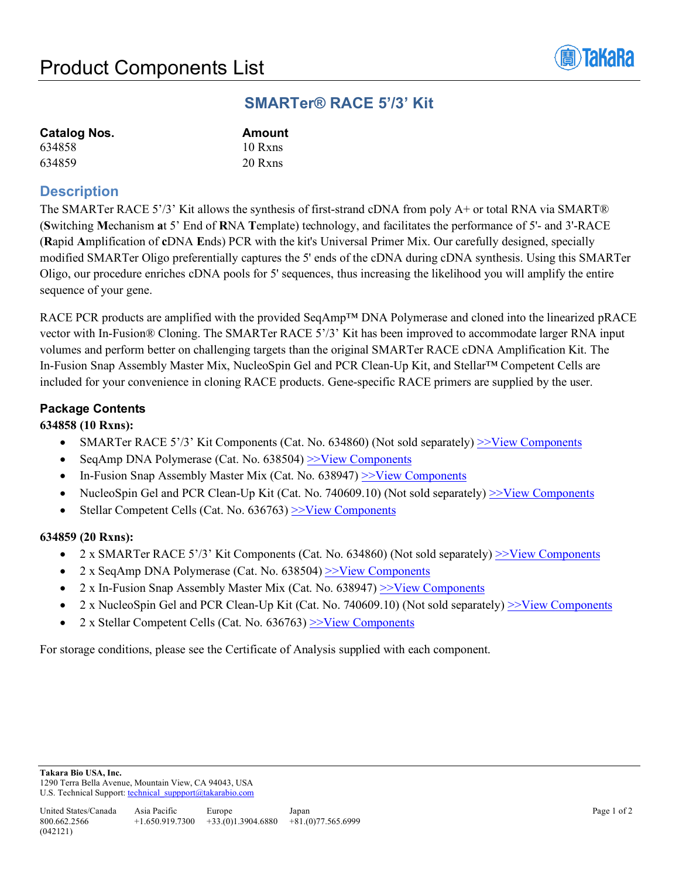

# **SMARTer® RACE 5'/3' Kit**

| <b>Catalog Nos.</b> | <b>Amount</b> |
|---------------------|---------------|
| 634858              | 10 Rxns       |
| 634859              | 20 Rxns       |

## **Description**

The SMARTer RACE 5'/3' Kit allows the synthesis of first-strand cDNA from poly A+ or total RNA via SMART® (**S**witching **M**echanism **a**t 5' End of **R**NA **T**emplate) technology, and facilitates the performance of 5'- and 3'-RACE (**R**apid **A**mplification of **c**DNA **E**nds) PCR with the kit's Universal Primer Mix. Our carefully designed, specially modified SMARTer Oligo preferentially captures the 5' ends of the cDNA during cDNA synthesis. Using this SMARTer Oligo, our procedure enriches cDNA pools for 5' sequences, thus increasing the likelihood you will amplify the entire sequence of your gene.

RACE PCR products are amplified with the provided SeqAmp™ DNA Polymerase and cloned into the linearized pRACE vector with In-Fusion® Cloning. The SMARTer RACE 5'/3' Kit has been improved to accommodate larger RNA input volumes and perform better on challenging targets than the original SMARTer RACE cDNA Amplification Kit. The In-Fusion Snap Assembly Master Mix, NucleoSpin Gel and PCR Clean-Up Kit, and Stellar™ Competent Cells are included for your convenience in cloning RACE products. Gene-specific RACE primers are supplied by the user.

## **Package Contents**

### **634858 (10 Rxns):**

- SMARTer RACE  $5'$ /3' Kit Components (Cat. No. 634860) (Not sold separately)  $\geq$ Yiew Components
- SeqAmp DNA Polymerase (Cat. No. 638504) [>>View Components](http://www.takarabio.com/resourcedocument/x31266)
- In-Fusion Snap Assembly Master Mix (Cat. No. 638947)  $\geq$ View Components
- NucleoSpin Gel and PCR Clean-Up Kit (Cat. No. 740609.10) (Not sold separately)  $\geq$ View Components
- Stellar Competent Cells (Cat. No.  $636763$ )  $\geq$ View Components

### **634859 (20 Rxns):**

- 2 x SMARTer RACE 5'/3' Kit Components (Cat. No. 634860) (Not sold separately) [>>View Components](http://www.takarabio.com/resourcedocument/x31311)
- 2 x SeqAmp DNA Polymerase (Cat. No.  $638504$ )  $\geq$ View Components
- 2 x In-Fusion Snap Assembly Master Mix (Cat. No. 638947)  $\ge$  View Components
- 2 x NucleoSpin Gel and PCR Clean-Up Kit (Cat. No. 740609.10) (Not sold separately)  $\geq$ View Components
- 2 x Stellar Competent Cells (Cat. No.  $636763$ )  $\geq$ View Components

For storage conditions, please see the Certificate of Analysis supplied with each component.